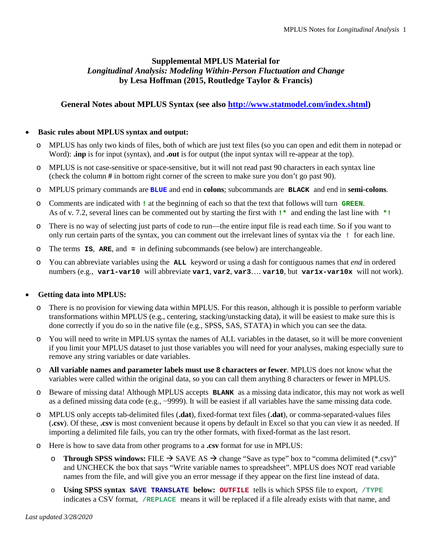# **Supplemental MPLUS Material for**  *Longitudinal Analysis: Modeling Within-Person Fluctuation and Change* **by Lesa Hoffman (2015, Routledge Taylor & Francis)**

# **General Notes about MPLUS Syntax (see also [http://www.statmodel.com/index.shtml\)](http://www.statmodel.com/index.shtml)**

### • **Basic rules about MPLUS syntax and output:**

- o MPLUS has only two kinds of files, both of which are just text files (so you can open and edit them in notepad or Word): **.inp** is for input (syntax), and **.out** is for output (the input syntax will re-appear at the top).
- o MPLUS is not case-sensitive or space-sensitive, but it will not read past 90 characters in each syntax line (check the column **#** in bottom right corner of the screen to make sure you don't go past 90).
- o MPLUS primary commands are **BLUE** and end in **colons**; subcommands are **BLACK** and end in **semi-colons**.
- o Comments are indicated with **!** at the beginning of each so that the text that follows will turn **GREEN**. As of v. 7.2, several lines can be commented out by starting the first with **!\*** and ending the last line with **\*!**
- o There is no way of selecting just parts of code to run—the entire input file is read each time. So if you want to only run certain parts of the syntax, you can comment out the irrelevant lines of syntax via the **!** for each line.
- o The terms **IS**, **ARE**, and **=** in defining subcommands (see below) are interchangeable.
- You can abbreviate variables using the **ALL** keyword or using a dash for contiguous names that *end* in ordered numbers (e.g., **var1-var10** will abbreviate **var1**, **var2**, **var3**…. **var10**, but **var1x-var10x** will not work).

# • **Getting data into MPLUS:**

- o There is no provision for viewing data within MPLUS. For this reason, although it is possible to perform variable transformations within MPLUS (e.g., centering, stacking/unstacking data), it will be easiest to make sure this is done correctly if you do so in the native file (e.g., SPSS, SAS, STATA) in which you can see the data.
- o You will need to write in MPLUS syntax the names of ALL variables in the dataset, so it will be more convenient if you limit your MPLUS dataset to just those variables you will need for your analyses, making especially sure to remove any string variables or date variables.
- o **All variable names and parameter labels must use 8 characters or fewer**. MPLUS does not know what the variables were called within the original data, so you can call them anything 8 characters or fewer in MPLUS.
- o Beware of missing data! Although MPLUS accepts **BLANK** as a missing data indicator, this may not work as well as a defined missing data code (e.g., −9999). It will be easiest if all variables have the same missing data code.
- o MPLUS only accepts tab-delimited files (**.dat**), fixed-format text files (**.dat**), or comma-separated-values files (**.csv**). Of these, **.csv** is most convenient because it opens by default in Excel so that you can view it as needed. If importing a delimited file fails, you can try the other formats, with fixed-format as the last resort.
- o Here is how to save data from other programs to a **.csv** format for use in MPLUS:
	- **o Through SPSS windows:** FILE  $\rightarrow$  SAVE AS  $\rightarrow$  change "Save as type" box to "comma delimited (\*.csv)" and UNCHECK the box that says "Write variable names to spreadsheet". MPLUS does NOT read variable names from the file, and will give you an error message if they appear on the first line instead of data.
	- o **Using SPSS syntax SAVE TRANSLATE below: OUTFILE** tells is which SPSS file to export, **/TYPE** indicates a CSV format, **/REPLACE** means it will be replaced if a file already exists with that name, and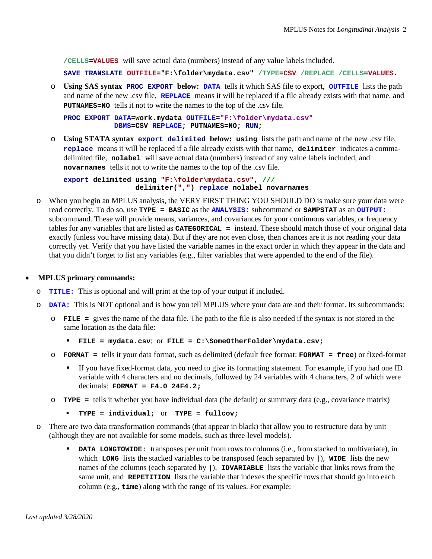**/CELLS=VALUES** will save actual data (numbers) instead of any value labels included.

**SAVE TRANSLATE OUTFILE="F:\folder\mydata.csv" /TYPE=CSV /REPLACE /CELLS=VALUES.**

o **Using SAS syntax PROC EXPORT below: DATA** tells it which SAS file to export, **OUTFILE** lists the path and name of the new .csv file, **REPLACE** means it will be replaced if a file already exists with that name, and **PUTNAMES=NO** tells it not to write the names to the top of the .csv file.

**PROC EXPORT DATA=work.mydata OUTFILE="F:\folder\mydata.csv" DBMS=CSV REPLACE; PUTNAMES=NO; RUN;**

o **Using STATA syntax export delimited below: using** lists the path and name of the new .csv file, **replace** means it will be replaced if a file already exists with that name, **delimiter** indicates a commadelimited file, **nolabel** will save actual data (numbers) instead of any value labels included, and **novarnames** tells it not to write the names to the top of the .csv file.

```
export delimited using "F:\folder\mydata.csv", ///
                  delimiter(",") replace nolabel novarnames
```
o When you begin an MPLUS analysis, the VERY FIRST THING YOU SHOULD DO is make sure your data were read correctly. To do so, use **TYPE = BASIC** as the **ANALYSIS:** subcommand or **SAMPSTAT** as an **OUTPUT:** subcommand. These will provide means, variances, and covariances for your continuous variables, or frequency tables for any variables that are listed as **CATEGORICAL =** instead. These should match those of your original data exactly (unless you have missing data). But if they are not even close, then chances are it is not reading your data correctly yet. Verify that you have listed the variable names in the exact order in which they appear in the data and that you didn't forget to list any variables (e.g., filter variables that were appended to the end of the file).

#### • **MPLUS primary commands:**

- o **TITLE:** This is optional and will print at the top of your output if included.
- o **DATA:** This is NOT optional and is how you tell MPLUS where your data are and their format. Its subcommands:
	- o **FILE =** gives the name of the data file. The path to the file is also needed if the syntax is not stored in the same location as the data file:
		- **FILE = mydata.csv**; or **FILE = C:\SomeOtherFolder\mydata.csv;**
	- o **FORMAT =** tells it your data format, such as delimited (default free format: **FORMAT = free**) or fixed-format
		- If you have fixed-format data, you need to give its formatting statement. For example, if you had one ID variable with 4 characters and no decimals, followed by 24 variables with 4 characters, 2 of which were decimals: **FORMAT = F4.0 24F4.2;**
	- o **TYPE =** tells it whether you have individual data (the default) or summary data (e.g., covariance matrix)
		- **TYPE = individual;** or **TYPE = fullcov;**
- o There are two data transformation commands (that appear in black) that allow you to restructure data by unit (although they are not available for some models, such as three-level models).
	- **DATA LONGTOWIDE:** transposes per unit from rows to columns (i.e., from stacked to multivariate), in which **LONG** lists the stacked variables to be transposed (each separated by **|**), **WIDE** lists the new names of the columns (each separated by **|**), **IDVARIABLE** lists the variable that links rows from the same unit, and **REPETITION** lists the variable that indexes the specific rows that should go into each column (e.g., **time**) along with the range of its values. For example: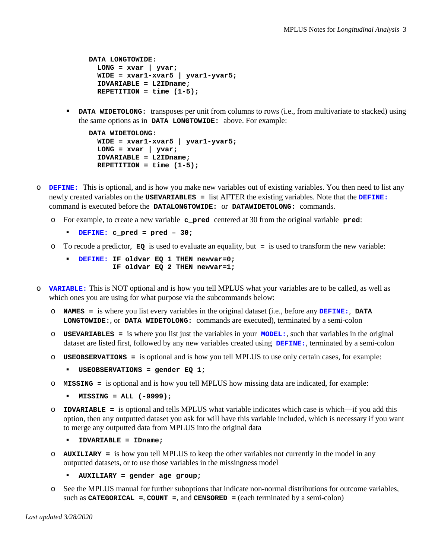```
DATA LONGTOWIDE:
   LONG = xvar | yvar;
   WIDE = xvar1-xvar5 | yvar1-yvar5;
   IDVARIABLE = L2IDname;
  REPETITION = time (1-5);
```
**DATA WIDETOLONG:** transposes per unit from columns to rows (i.e., from multivariate to stacked) using the same options as in **DATA LONGTOWIDE:** above. For example:

```
DATA WIDETOLONG:
  WIDE = xvar1-xvar5 | yvar1-yvar5;
   LONG = xvar | yvar;
   IDVARIABLE = L2IDname;
   REPETITION = time (1-5);
```
- o **DEFINE:** This is optional, and is how you make new variables out of existing variables. You then need to list any newly created variables on the **USEVARIABLES =** list AFTER the existing variables. Note that the **DEFINE:** command is executed before the **DATALONGTOWIDE:** or **DATAWIDETOLONG:** commands.
	- o For example, to create a new variable **c\_pred** centered at 30 from the original variable **pred**:
		- **DEFINE: c\_pred = pred – 30;**
	- o To recode a predictor, **EQ** is used to evaluate an equality, but **=** is used to transform the new variable:
		- **DEFINE: IF oldvar EQ 1 THEN newvar=0; IF oldvar EQ 2 THEN newvar=1;**
- o **VARIABLE:** This is NOT optional and is how you tell MPLUS what your variables are to be called, as well as which ones you are using for what purpose via the subcommands below:
	- o **NAMES =** is where you list every variables in the original dataset (i.e., before any **DEFINE:**, **DATA LONGTOWIDE:**, or **DATA WIDETOLONG:** commands are executed), terminated by a semi-colon
	- o **USEVARIABLES =** is where you list just the variables in your **MODEL:**, such that variables in the original dataset are listed first, followed by any new variables created using **DEFINE:**, terminated by a semi-colon
	- o **USEOBSERVATIONS =** is optional and is how you tell MPLUS to use only certain cases, for example:
		- **USEOBSERVATIONS = gender EQ 1;**
	- o **MISSING =** is optional and is how you tell MPLUS how missing data are indicated, for example:
		- **MISSING = ALL (-9999);**
	- o **IDVARIABLE =** is optional and tells MPLUS what variable indicates which case is which—if you add this option, then any outputted dataset you ask for will have this variable included, which is necessary if you want to merge any outputted data from MPLUS into the original data
		- **IDVARIABLE = IDname;**
	- o **AUXILIARY =** is how you tell MPLUS to keep the other variables not currently in the model in any outputted datasets, or to use those variables in the missingness model

```
 AUXILIARY = gender age group;
```
o See the MPLUS manual for further suboptions that indicate non-normal distributions for outcome variables, such as **CATEGORICAL =**, **COUNT =**, and **CENSORED =** (each terminated by a semi-colon)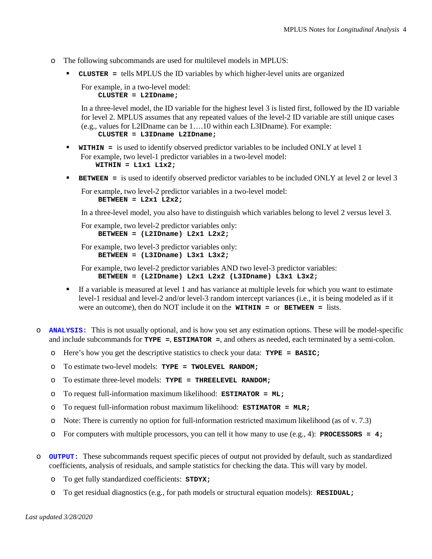- o The following subcommands are used for multilevel models in MPLUS:
	- **CLUSTER =** tells MPLUS the ID variables by which higher-level units are organized

For example, in a two-level model: **CLUSTER = L2IDname;**

In a three-level model, the ID variable for the highest level 3 is listed first, followed by the ID variable for level 2. MPLUS assumes that any repeated values of the level-2 ID variable are still unique cases (e.g., values for L2IDname can be 1….10 within each L3IDname). For example:  **CLUSTER = L3IDname L2IDname;**

- **WITHIN =** is used to identify observed predictor variables to be included ONLY at level 1 For example, two level-1 predictor variables in a two-level model: **WITHIN = L1x1 L1x2;**
- **BETWEEN =** is used to identify observed predictor variables to be included ONLY at level 2 or level 3

For example, two level-2 predictor variables in a two-level model: **BETWEEN = L2x1 L2x2;**

In a three-level model, you also have to distinguish which variables belong to level 2 versus level 3.

For example, two level-2 predictor variables only:  **BETWEEN = (L2IDname) L2x1 L2x2;**

For example, two level-3 predictor variables only:  **BETWEEN = (L3IDname) L3x1 L3x2;**

For example, two level-2 predictor variables AND two level-3 predictor variables:  **BETWEEN = (L2IDname) L2x1 L2x2 (L3IDname) L3x1 L3x2;**

- If a variable is measured at level 1 and has variance at multiple levels for which you want to estimate level-1 residual and level-2 and/or level-3 random intercept variances (i.e., it is being modeled as if it were an outcome), then do NOT include it on the **WITHIN =** or **BETWEEN =** lists.
- o **ANALYSIS:** This is not usually optional, and is how you set any estimation options. These will be model-specific and include subcommands for **TYPE =**, **ESTIMATOR =**, and others as needed, each terminated by a semi-colon.
	- o Here's how you get the descriptive statistics to check your data: **TYPE = BASIC;**
	- o To estimate two-level models: **TYPE = TWOLEVEL RANDOM;**
	- o To estimate three-level models: **TYPE = THREELEVEL RANDOM;**
	- o To request full-information maximum likelihood: **ESTIMATOR = ML;**
	- o To request full-information robust maximum likelihood: **ESTIMATOR = MLR;**
	- o Note: There is currently no option for full-information restricted maximum likelihood (as of v. 7.3)
	- o For computers with multiple processors, you can tell it how many to use (e.g., 4): **PROCESSORS = 4;**
- o **OUTPUT:** These subcommands request specific pieces of output not provided by default, such as standardized coefficients, analysis of residuals, and sample statistics for checking the data. This will vary by model.
	- o To get fully standardized coefficients: **STDYX;**
	- o To get residual diagnostics (e.g., for path models or structural equation models): **RESIDUAL;**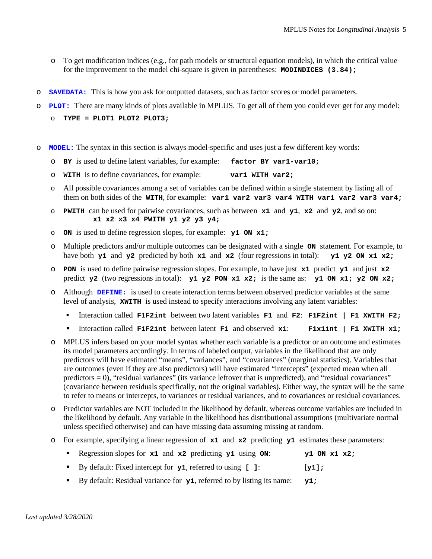- o To get modification indices (e.g., for path models or structural equation models), in which the critical value for the improvement to the model chi-square is given in parentheses: **MODINDICES (3.84);**
- o **SAVEDATA:** This is how you ask for outputted datasets, such as factor scores or model parameters.
- o **PLOT:** There are many kinds of plots available in MPLUS. To get all of them you could ever get for any model:
	- o **TYPE = PLOT1 PLOT2 PLOT3;**
- o **MODEL:** The syntax in this section is always model-specific and uses just a few different key words:
	- o **BY** is used to define latent variables, for example: **factor BY var1-var10;**
	- o **WITH** is to define covariances, for example: **var1 WITH var2;**
	- o All possible covariances among a set of variables can be defined within a single statement by listing all of them on both sides of the **WITH**, for example: **var1 var2 var3 var4 WITH var1 var2 var3 var4;**
	- o **PWITH** can be used for pairwise covariances, such as between **x1** and **y1**, **x2** and **y2**, and so on:  **x1 x2 x3 x4 PWITH y1 y2 y3 y4;**
	- o **ON** is used to define regression slopes, for example: **y1 ON x1;**
	- o Multiple predictors and/or multiple outcomes can be designated with a single **ON** statement. For example, to have both **y1** and **y2** predicted by both **x1** and **x2** (four regressions in total): **y1 y2 ON x1 x2**; have both **y1** and **y2** predicted by both  $x1$  and  $x2$  (four regressions in total):
	- o **PON** is used to define pairwise regression slopes. For example, to have just **x1** predict **y1** and just **x2**  predict **y2** (two regressions in total): **y1 y2 PON**  $x1 \times 2$ ; is the same as: **y1** ON  $x1$ ; **y2** ON  $x2$ ;
	- o Although **DEFINE:** is used to create interaction terms between observed predictor variables at the same level of analysis, **XWITH** is used instead to specify interactions involving any latent variables:
		- Interaction called **F1F2int** between two latent variables **F1** and **F2**: **F1F2int | F1 XWITH F2;**
		- Interaction called **F1F2int** between latent **F1** and observed **x1**: **F1x1int | F1 XWITH x1;**
	- o MPLUS infers based on your model syntax whether each variable is a predictor or an outcome and estimates its model parameters accordingly. In terms of labeled output, variables in the likelihood that are only predictors will have estimated "means", "variances", and "covariances" (marginal statistics). Variables that are outcomes (even if they are also predictors) will have estimated "intercepts" (expected mean when all predictors = 0), "residual variances" (its variance leftover that is unpredicted), and "residual covariances" (covariance between residuals specifically, not the original variables). Either way, the syntax will be the same to refer to means or intercepts, to variances or residual variances, and to covariances or residual covariances.
	- o Predictor variables are NOT included in the likelihood by default, whereas outcome variables are included in the likelihood by default. Any variable in the likelihood has distributional assumptions (multivariate normal unless specified otherwise) and can have missing data assuming missing at random.
	- o For example, specifying a linear regression of **x1** and **x2** predicting **y1** estimates these parameters:

| Regression slopes for $x1$ and $x2$ predicting $y1$ using ON: |  | y1 ON x1 x2; |
|---------------------------------------------------------------|--|--------------|
|                                                               |  |              |

- By default: Fixed intercept for **y1**, referred to using **[ ]**: [**y1];**
- By default: Residual variance for **y1**, referred to by listing its name: **y1;**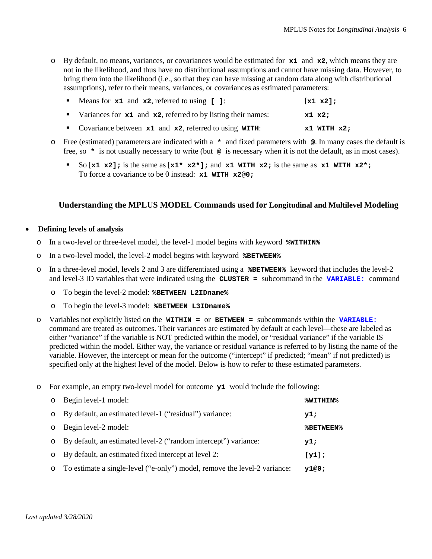o By default, no means, variances, or covariances would be estimated for **x1** and **x2**, which means they are not in the likelihood, and thus have no distributional assumptions and cannot have missing data. However, to bring them into the likelihood (i.e., so that they can have missing at random data along with distributional assumptions), refer to their means, variances, or covariances as estimated parameters:

| • Means for $x1$ and $x2$ , referred to using [ ]:                | $\begin{bmatrix} x1 & x2 \end{bmatrix}$ |
|-------------------------------------------------------------------|-----------------------------------------|
| Variances for $x1$ and $x2$ , referred to by listing their names: | x1 x2;                                  |
| Covariance between $x1$ and $x2$ , referred to using WITH:        | $x1$ WITH $x2$ ;                        |

- o Free (estimated) parameters are indicated with a **\*** and fixed parameters with **@**. In many cases the default is free, so **\*** is not usually necessary to write (but **@** is necessary when it is not the default, as in most cases).
	- So  $[x1 \times 2]$ ; is the same as  $[x1 \times x2^+]$ ; and  $x1 \text{ WITH } x2$ ; is the same as  $x1 \text{ WITH } x2^*$ ; To force a covariance to be 0 instead: **x1 WITH x2@0;**

# **Understanding the MPLUS MODEL Commands used for Longitudinal and Multilevel Modeling**

#### • **Defining levels of analysis**

- o In a two-level or three-level model, the level-1 model begins with keyword **%WITHIN%**
- o In a two-level model, the level-2 model begins with keyword **%BETWEEN%**
- o In a three-level model, levels 2 and 3 are differentiated using a **%BETWEEN%** keyword that includes the level-2 and level-3 ID variables that were indicated using the **CLUSTER =** subcommand in the **VARIABLE:** command
	- o To begin the level-2 model: **%BETWEEN L2IDname%**
	- o To begin the level-3 model: **%BETWEEN L3IDname%**
- o Variables not explicitly listed on the **WITHIN =** or **BETWEEN =** subcommands within the **VARIABLE:** command are treated as outcomes. Their variances are estimated by default at each level—these are labeled as either "variance" if the variable is NOT predicted within the model, or "residual variance" if the variable IS predicted within the model. Either way, the variance or residual variance is referred to by listing the name of the variable. However, the intercept or mean for the outcome ("intercept" if predicted; "mean" if not predicted) is specified only at the highest level of the model. Below is how to refer to these estimated parameters.
- o For example, an empty two-level model for outcome **y1** would include the following:

| $\circ$ Begin level-1 model:                                                | %WITHIN%         |
|-----------------------------------------------------------------------------|------------------|
| o By default, an estimated level-1 ("residual") variance:                   | y1;              |
| $\circ$ Begin level-2 model:                                                | <b>%BETWEEN%</b> |
| o By default, an estimated level-2 ("random intercept") variance:           | y1;              |
| o By default, an estimated fixed intercept at level 2:                      | [y1];            |
| o To estimate a single-level ("e-only") model, remove the level-2 variance: | v1@0:            |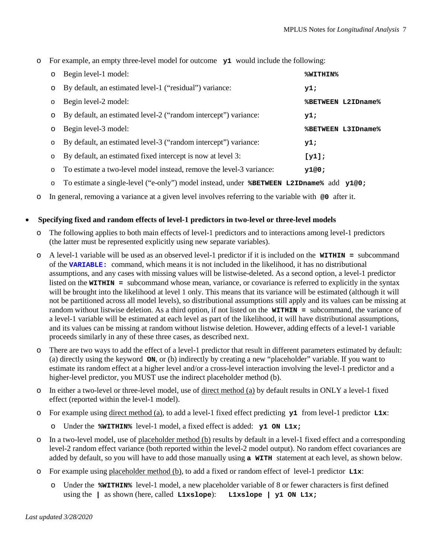o For example, an empty three-level model for outcome **y1** would include the following:

| $\circ$ | Begin level-1 model:                                                | %WITHIN%                  |
|---------|---------------------------------------------------------------------|---------------------------|
| $\circ$ | By default, an estimated level-1 ("residual") variance:             | y1;                       |
| $\circ$ | Begin level-2 model:                                                | <b>%BETWEEN L2IDname%</b> |
| $\circ$ | By default, an estimated level-2 ("random intercept") variance:     | y1;                       |
| $\circ$ | Begin level-3 model:                                                | <b>%BETWEEN L3IDname%</b> |
| $\circ$ | By default, an estimated level-3 ("random intercept") variance:     | y1;                       |
| $\circ$ | By default, an estimated fixed intercept is now at level 3:         | [y1];                     |
| $\circ$ | To estimate a two-level model instead, remove the level-3 variance: | y1@0;                     |

o To estimate a single-level ("e-only") model instead, under **%BETWEEN L2IDname%** add **y1@0;**

o In general, removing a variance at a given level involves referring to the variable with **@0** after it.

#### • **Specifying fixed and random effects of level-1 predictors in two-level or three-level models**

- The following applies to both main effects of level-1 predictors and to interactions among level-1 predictors (the latter must be represented explicitly using new separate variables).
- o A level-1 variable will be used as an observed level-1 predictor if it is included on the **WITHIN =** subcommand of the **VARIABLE:** command, which means it is not included in the likelihood, it has no distributional assumptions, and any cases with missing values will be listwise-deleted. As a second option, a level-1 predictor listed on the **WITHIN =** subcommand whose mean, variance, or covariance is referred to explicitly in the syntax will be brought into the likelihood at level 1 only. This means that its variance will be estimated (although it will not be partitioned across all model levels), so distributional assumptions still apply and its values can be missing at random without listwise deletion. As a third option, if not listed on the **WITHIN =** subcommand, the variance of a level-1 variable will be estimated at each level as part of the likelihood, it will have distributional assumptions, and its values can be missing at random without listwise deletion. However, adding effects of a level-1 variable proceeds similarly in any of these three cases, as described next.
- o There are two ways to add the effect of a level-1 predictor that result in different parameters estimated by default: (a) directly using the keyword **ON**, or (b) indirectly by creating a new "placeholder" variable. If you want to estimate its random effect at a higher level and/or a cross-level interaction involving the level-1 predictor and a higher-level predictor, you MUST use the indirect placeholder method (b).
- o In either a two-level or three-level model, use of direct method (a) by default results in ONLY a level-1 fixed effect (reported within the level-1 model).
- o For example using direct method (a), to add a level-1 fixed effect predicting **y1** from level-1 predictor **L1x**:
	- o Under the **%WITHIN%** level-1 model, a fixed effect is added: **y1 ON L1x;**
- o In a two-level model, use of placeholder method (b) results by default in a level-1 fixed effect and a corresponding level-2 random effect variance (both reported within the level-2 model output). No random effect covariances are added by default, so you will have to add those manually using **a WITH** statement at each level, as shown below.
- o For example using placeholder method (b), to add a fixed or random effect of level-1 predictor **L1x**:
	- o Under the **%WITHIN%** level-1 model, a new placeholder variable of 8 or fewer characters is first defined using the **|** as shown (here, called **L1xslope**): **L1xslope | y1 ON L1x;**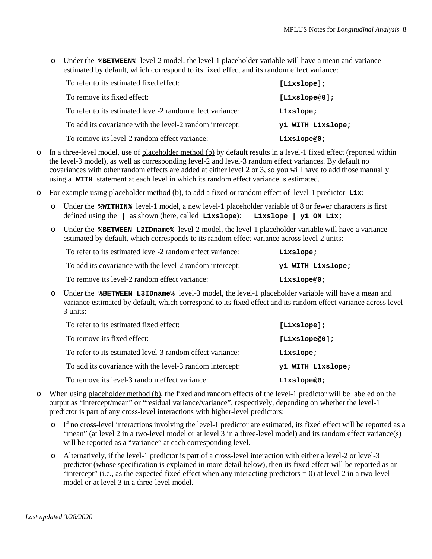o Under the **%BETWEEN%** level-2 model, the level-1 placeholder variable will have a mean and variance estimated by default, which correspond to its fixed effect and its random effect variance:

| To refer to its estimated fixed effect:                   | [L1xslope];       |
|-----------------------------------------------------------|-------------------|
| To remove its fixed effect:                               | [L1xslope@0];     |
| To refer to its estimated level-2 random effect variance: | Llxslope;         |
| To add its covariance with the level-2 random intercept:  | y1 WITH L1xslope; |
| To remove its level-2 random effect variance:             | Llxslope@0;       |

- o In a three-level model, use of placeholder method (b) by default results in a level-1 fixed effect (reported within the level-3 model), as well as corresponding level-2 and level-3 random effect variances. By default no covariances with other random effects are added at either level 2 or 3, so you will have to add those manually using a **WITH** statement at each level in which its random effect variance is estimated.
- o For example using placeholder method (b), to add a fixed or random effect of level-1 predictor **L1x**:
	- Under the **\*WITHIN\*** level-1 model, a new level-1 placeholder variable of 8 or fewer characters is first defined using the  $\parallel$  as shown (here, called **Lixslope**): **Lixslope**  $\parallel$  **y1 ON Lix;** defined using the **|** as shown (here, called **L1xslope**):
	- o Under the **%BETWEEN L2IDname%** level-2 model, the level-1 placeholder variable will have a variance estimated by default, which corresponds to its random effect variance across level-2 units:

| To refer to its estimated level-2 random effect variance: | Llxslope;         |
|-----------------------------------------------------------|-------------------|
| To add its covariance with the level-2 random intercept:  | y1 WITH L1xslope; |
| To remove its level-2 random effect variance:             | Llxslope@0;       |

o Under the **%BETWEEN L3IDname%** level-3 model, the level-1 placeholder variable will have a mean and variance estimated by default, which correspond to its fixed effect and its random effect variance across level-3 units:

| To refer to its estimated fixed effect:                   | $[$ Llxslope];    |
|-----------------------------------------------------------|-------------------|
| To remove its fixed effect:                               | [L1xs1ope@0];     |
| To refer to its estimated level-3 random effect variance: | Llxslope;         |
| To add its covariance with the level-3 random intercept:  | y1 WITH L1xslope; |
| To remove its level-3 random effect variance:             | Llxslope@0;       |

- o When using placeholder method (b), the fixed and random effects of the level-1 predictor will be labeled on the output as "intercept/mean" or "residual variance/variance", respectively, depending on whether the level-1 predictor is part of any cross-level interactions with higher-level predictors:
	- If no cross-level interactions involving the level-1 predictor are estimated, its fixed effect will be reported as a "mean" (at level 2 in a two-level model or at level 3 in a three-level model) and its random effect variance(s) will be reported as a "variance" at each corresponding level.
	- o Alternatively, if the level-1 predictor is part of a cross-level interaction with either a level-2 or level-3 predictor (whose specification is explained in more detail below), then its fixed effect will be reported as an "intercept" (i.e., as the expected fixed effect when any interacting predictors  $= 0$ ) at level 2 in a two-level model or at level 3 in a three-level model.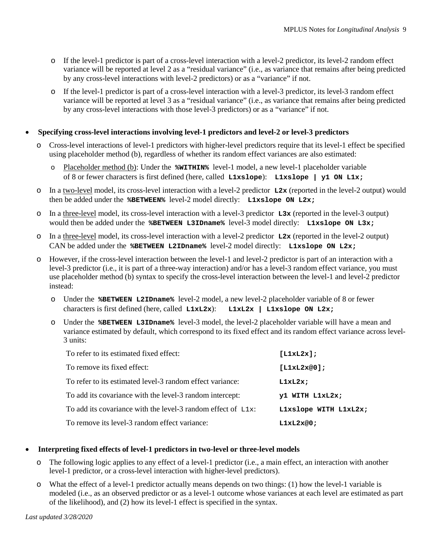- o If the level-1 predictor is part of a cross-level interaction with a level-2 predictor, its level-2 random effect variance will be reported at level 2 as a "residual variance" (i.e., as variance that remains after being predicted by any cross-level interactions with level-2 predictors) or as a "variance" if not.
- o If the level-1 predictor is part of a cross-level interaction with a level-3 predictor, its level-3 random effect variance will be reported at level 3 as a "residual variance" (i.e., as variance that remains after being predicted by any cross-level interactions with those level-3 predictors) or as a "variance" if not.

#### • **Specifying cross-level interactions involving level-1 predictors and level-2 or level-3 predictors**

- o Cross-level interactions of level-1 predictors with higher-level predictors require that its level-1 effect be specified using placeholder method (b), regardless of whether its random effect variances are also estimated:
	- o Placeholder method (b): Under the **%WITHIN%** level-1 model, a new level-1 placeholder variable of 8 or fewer characters is first defined (here, called **L1xslope**): **L1xslope | y1 ON L1x;**
- o In a two-level model, its cross-level interaction with a level-2 predictor **L2x** (reported in the level-2 output) would then be added under the **%BETWEEN%** level-2 model directly: **L1xslope ON L2x;**
- o In a three-level model, its cross-level interaction with a level-3 predictor **L3x** (reported in the level-3 output) would then be added under the **%BETWEEN L3IDname%** level-3 model directly: **L1xslope ON L3x;**
- o In a three-level model, its cross-level interaction with a level-2 predictor **L2x** (reported in the level-2 output) CAN be added under the **%BETWEEN L2IDname%** level-2 model directly: **L1xslope ON L2x;**
- o However, if the cross-level interaction between the level-1 and level-2 predictor is part of an interaction with a level-3 predictor (i.e., it is part of a three-way interaction) and/or has a level-3 random effect variance, you must use placeholder method (b) syntax to specify the cross-level interaction between the level-1 and level-2 predictor instead:
	- o Under the **%BETWEEN L2IDname%** level-2 model, a new level-2 placeholder variable of 8 or fewer characters is first defined (here, called **L1xL2x**): **L1xL2x | L1xslope ON L2x;**
	- o Under the **%BETWEEN L3IDname%** level-3 model, the level-2 placeholder variable will have a mean and variance estimated by default, which correspond to its fixed effect and its random effect variance across level-3 units:

| To refer to its estimated fixed effect:                         | [LLXL2x];             |
|-----------------------------------------------------------------|-----------------------|
| To remove its fixed effect:                                     | [LLxL2x@0];           |
| To refer to its estimated level-3 random effect variance:       | LLxL2x                |
| To add its covariance with the level-3 random intercept:        | y1 WITH L1xL2x;       |
| To add its covariance with the level-3 random effect of $L1x$ : | L1xslope WITH L1xL2x; |
| To remove its level-3 random effect variance:                   | L1xL2x@0;             |

#### • **Interpreting fixed effects of level-1 predictors in two-level or three-level models**

- o The following logic applies to any effect of a level-1 predictor (i.e., a main effect, an interaction with another level-1 predictor, or a cross-level interaction with higher-level predictors).
- o What the effect of a level-1 predictor actually means depends on two things: (1) how the level-1 variable is modeled (i.e., as an observed predictor or as a level-1 outcome whose variances at each level are estimated as part of the likelihood), and (2) how its level-1 effect is specified in the syntax.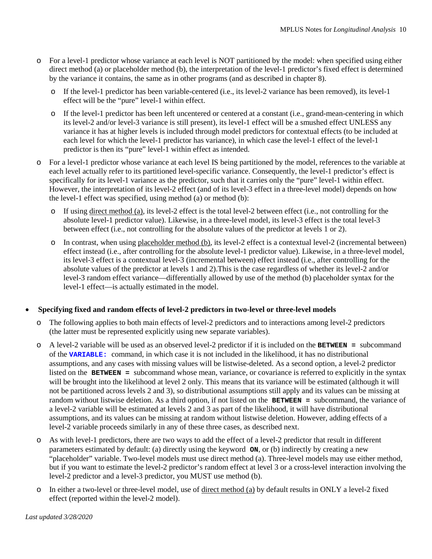- o For a level-1 predictor whose variance at each level is NOT partitioned by the model: when specified using either direct method (a) or placeholder method (b), the interpretation of the level-1 predictor's fixed effect is determined by the variance it contains, the same as in other programs (and as described in chapter 8).
	- o If the level-1 predictor has been variable-centered (i.e., its level-2 variance has been removed), its level-1 effect will be the "pure" level-1 within effect.
	- o If the level-1 predictor has been left uncentered or centered at a constant (i.e., grand-mean-centering in which its level-2 and/or level-3 variance is still present), its level-1 effect will be a smushed effect UNLESS any variance it has at higher levels is included through model predictors for contextual effects (to be included at each level for which the level-1 predictor has variance), in which case the level-1 effect of the level-1 predictor is then its "pure" level-1 within effect as intended.
- o For a level-1 predictor whose variance at each level IS being partitioned by the model, references to the variable at each level actually refer to its partitioned level-specific variance. Consequently, the level-1 predictor's effect is specifically for its level-1 variance as the predictor, such that it carries only the "pure" level-1 within effect. However, the interpretation of its level-2 effect (and of its level-3 effect in a three-level model) depends on how the level-1 effect was specified, using method (a) or method (b):
	- o If using direct method (a), its level-2 effect is the total level-2 between effect (i.e., not controlling for the absolute level-1 predictor value). Likewise, in a three-level model, its level-3 effect is the total level-3 between effect (i.e., not controlling for the absolute values of the predictor at levels 1 or 2).
	- $\circ$  In contrast, when using placeholder method (b), its level-2 effect is a contextual level-2 (incremental between) effect instead (i.e., after controlling for the absolute level-1 predictor value). Likewise, in a three-level model, its level-3 effect is a contextual level-3 (incremental between) effect instead (i.e., after controlling for the absolute values of the predictor at levels 1 and 2).This is the case regardless of whether its level-2 and/or level-3 random effect variance—differentially allowed by use of the method (b) placeholder syntax for the level-1 effect—is actually estimated in the model.

# • **Specifying fixed and random effects of level-2 predictors in two-level or three-level models**

- o The following applies to both main effects of level-2 predictors and to interactions among level-2 predictors (the latter must be represented explicitly using new separate variables).
- o A level-2 variable will be used as an observed level-2 predictor if it is included on the **BETWEEN =** subcommand of the **VARIABLE:** command, in which case it is not included in the likelihood, it has no distributional assumptions, and any cases with missing values will be listwise-deleted. As a second option, a level-2 predictor listed on the **BETWEEN =** subcommand whose mean, variance, or covariance is referred to explicitly in the syntax will be brought into the likelihood at level 2 only. This means that its variance will be estimated (although it will not be partitioned across levels 2 and 3), so distributional assumptions still apply and its values can be missing at random without listwise deletion. As a third option, if not listed on the **BETWEEN =** subcommand, the variance of a level-2 variable will be estimated at levels 2 and 3 as part of the likelihood, it will have distributional assumptions, and its values can be missing at random without listwise deletion. However, adding effects of a level-2 variable proceeds similarly in any of these three cases, as described next.
- o As with level-1 predictors, there are two ways to add the effect of a level-2 predictor that result in different parameters estimated by default: (a) directly using the keyword **ON**, or (b) indirectly by creating a new "placeholder" variable. Two-level models must use direct method (a). Three-level models may use either method, but if you want to estimate the level-2 predictor's random effect at level 3 or a cross-level interaction involving the level-2 predictor and a level-3 predictor, you MUST use method (b).
- o In either a two-level or three-level model, use of direct method (a) by default results in ONLY a level-2 fixed effect (reported within the level-2 model).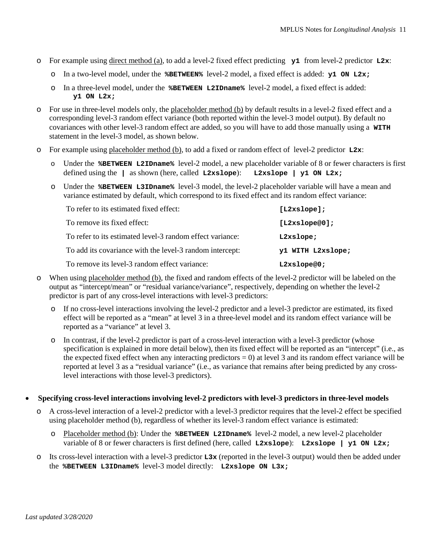- o For example using direct method (a), to add a level-2 fixed effect predicting **y1** from level-2 predictor **L2x**:
	- o In a two-level model, under the **%BETWEEN%** level-2 model, a fixed effect is added: **y1 ON L2x;**
	- o In a three-level model, under the **%BETWEEN L2IDname%** level-2 model, a fixed effect is added: **y1 ON L2x;**
- For use in three-level models only, the placeholder method (b) by default results in a level-2 fixed effect and a corresponding level-3 random effect variance (both reported within the level-3 model output). By default no covariances with other level-3 random effect are added, so you will have to add those manually using a **WITH** statement in the level-3 model, as shown below.
- o For example using placeholder method (b), to add a fixed or random effect of level-2 predictor **L2x**:
	- o Under the **%BETWEEN L2IDname%** level-2 model, a new placeholder variable of 8 or fewer characters is first defined using the **|** as shown (here, called **L2xslope**): **L2xslope | y1 ON L2x;**
	- o Under the **%BETWEEN L3IDname%** level-3 model, the level-2 placeholder variable will have a mean and variance estimated by default, which correspond to its fixed effect and its random effect variance:

| To refer to its estimated fixed effect:                   | [L2xslope];       |
|-----------------------------------------------------------|-------------------|
| To remove its fixed effect:                               | [L2xslope@0];     |
| To refer to its estimated level-3 random effect variance: | L2xslope;         |
| To add its covariance with the level-3 random intercept:  | y1 WITH L2xslope; |
| To remove its level-3 random effect variance:             | L2xslope@0;       |

- o When using placeholder method (b), the fixed and random effects of the level-2 predictor will be labeled on the output as "intercept/mean" or "residual variance/variance", respectively, depending on whether the level-2 predictor is part of any cross-level interactions with level-3 predictors:
	- o If no cross-level interactions involving the level-2 predictor and a level-3 predictor are estimated, its fixed effect will be reported as a "mean" at level 3 in a three-level model and its random effect variance will be reported as a "variance" at level 3.
	- o In contrast, if the level-2 predictor is part of a cross-level interaction with a level-3 predictor (whose specification is explained in more detail below), then its fixed effect will be reported as an "intercept" (i.e., as the expected fixed effect when any interacting predictors  $= 0$ ) at level 3 and its random effect variance will be reported at level 3 as a "residual variance" (i.e., as variance that remains after being predicted by any crosslevel interactions with those level-3 predictors).
- **Specifying cross-level interactions involving level-2 predictors with level-3 predictors in three-level models**
	- o A cross-level interaction of a level-2 predictor with a level-3 predictor requires that the level-2 effect be specified using placeholder method (b), regardless of whether its level-3 random effect variance is estimated:
		- o Placeholder method (b): Under the **%BETWEEN L2IDname%** level-2 model, a new level-2 placeholder variable of 8 or fewer characters is first defined (here, called **L2xslope**): **L2xslope | y1 ON L2x;**
	- o Its cross-level interaction with a level-3 predictor **L3x** (reported in the level-3 output) would then be added under the **%BETWEEN L3IDname%** level-3 model directly: **L2xslope ON L3x;**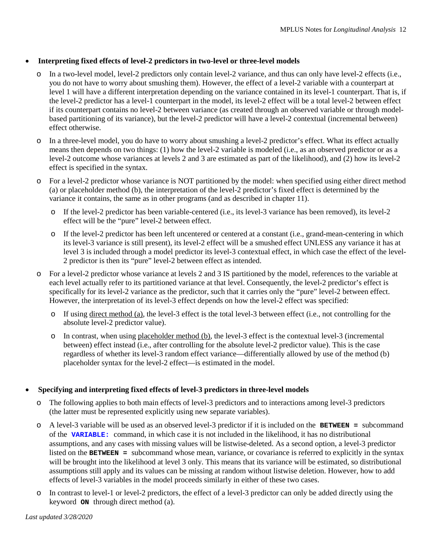# • **Interpreting fixed effects of level-2 predictors in two-level or three-level models**

- In a two-level model, level-2 predictors only contain level-2 variance, and thus can only have level-2 effects (i.e., you do not have to worry about smushing them). However, the effect of a level-2 variable with a counterpart at level 1 will have a different interpretation depending on the variance contained in its level-1 counterpart. That is, if the level-2 predictor has a level-1 counterpart in the model, its level-2 effect will be a total level-2 between effect if its counterpart contains no level-2 between variance (as created through an observed variable or through modelbased partitioning of its variance), but the level-2 predictor will have a level-2 contextual (incremental between) effect otherwise.
- o In a three-level model, you do have to worry about smushing a level-2 predictor's effect. What its effect actually means then depends on two things: (1) how the level-2 variable is modeled (i.e., as an observed predictor or as a level-2 outcome whose variances at levels 2 and 3 are estimated as part of the likelihood), and (2) how its level-2 effect is specified in the syntax.
- o For a level-2 predictor whose variance is NOT partitioned by the model: when specified using either direct method (a) or placeholder method (b), the interpretation of the level-2 predictor's fixed effect is determined by the variance it contains, the same as in other programs (and as described in chapter 11).
	- o If the level-2 predictor has been variable-centered (i.e., its level-3 variance has been removed), its level-2 effect will be the "pure" level-2 between effect.
	- o If the level-2 predictor has been left uncentered or centered at a constant (i.e., grand-mean-centering in which its level-3 variance is still present), its level-2 effect will be a smushed effect UNLESS any variance it has at level 3 is included through a model predictor its level-3 contextual effect, in which case the effect of the level-2 predictor is then its "pure" level-2 between effect as intended.
- o For a level-2 predictor whose variance at levels 2 and 3 IS partitioned by the model, references to the variable at each level actually refer to its partitioned variance at that level. Consequently, the level-2 predictor's effect is specifically for its level-2 variance as the predictor, such that it carries only the "pure" level-2 between effect. However, the interpretation of its level-3 effect depends on how the level-2 effect was specified:
	- o If using direct method (a), the level-3 effect is the total level-3 between effect (i.e., not controlling for the absolute level-2 predictor value).
	- o In contrast, when using placeholder method (b), the level-3 effect is the contextual level-3 (incremental between) effect instead (i.e., after controlling for the absolute level-2 predictor value). This is the case regardless of whether its level-3 random effect variance—differentially allowed by use of the method (b) placeholder syntax for the level-2 effect—is estimated in the model.

# • **Specifying and interpreting fixed effects of level-3 predictors in three-level models**

- o The following applies to both main effects of level-3 predictors and to interactions among level-3 predictors (the latter must be represented explicitly using new separate variables).
- o A level-3 variable will be used as an observed level-3 predictor if it is included on the **BETWEEN =** subcommand of the **VARIABLE:** command, in which case it is not included in the likelihood, it has no distributional assumptions, and any cases with missing values will be listwise-deleted. As a second option, a level-3 predictor listed on the **BETWEEN =** subcommand whose mean, variance, or covariance is referred to explicitly in the syntax will be brought into the likelihood at level 3 only. This means that its variance will be estimated, so distributional assumptions still apply and its values can be missing at random without listwise deletion. However, how to add effects of level-3 variables in the model proceeds similarly in either of these two cases.
- o In contrast to level-1 or level-2 predictors, the effect of a level-3 predictor can only be added directly using the keyword **ON** through direct method (a).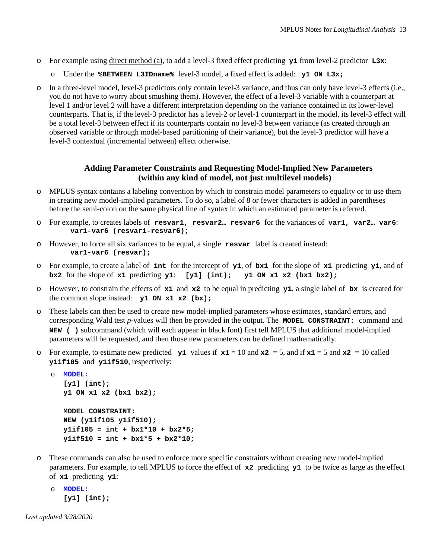- o For example using direct method (a), to add a level-3 fixed effect predicting **y1** from level-2 predictor **L3x**:
	- o Under the **%BETWEEN L3IDname%** level-3 model, a fixed effect is added: **y1 ON L3x;**
- o In a three-level model, level-3 predictors only contain level-3 variance, and thus can only have level-3 effects (i.e., you do not have to worry about smushing them). However, the effect of a level-3 variable with a counterpart at level 1 and/or level 2 will have a different interpretation depending on the variance contained in its lower-level counterparts. That is, if the level-3 predictor has a level-2 or level-1 counterpart in the model, its level-3 effect will be a total level-3 between effect if its counterparts contain no level-3 between variance (as created through an observed variable or through model-based partitioning of their variance), but the level-3 predictor will have a level-3 contextual (incremental between) effect otherwise.

# **Adding Parameter Constraints and Requesting Model-Implied New Parameters (within any kind of model, not just multilevel models)**

- MPLUS syntax contains a labeling convention by which to constrain model parameters to equality or to use them in creating new model-implied parameters. To do so, a label of 8 or fewer characters is added in parentheses before the semi-colon on the same physical line of syntax in which an estimated parameter is referred.
- o For example, to creates labels of **resvar1, resvar2… resvar6** for the variances of **var1, var2… var6**: **var1-var6 (resvar1-resvar6);**
- o However, to force all six variances to be equal, a single **resvar** label is created instead: **var1-var6 (resvar);**
- o For example, to create a label of **int** for the intercept of **y1**, of **bx1** for the slope of **x1** predicting **y1**, and of **bx2** for the slope of  $x1$  predicting  $y1$ :  $[y1]$  (int);  $y1$  ON  $x1$   $x2$  (bx1 bx2);
- o However, to constrain the effects of **x1** and **x2** to be equal in predicting **y1**, a single label of **bx** is created for the common slope instead: **y1 ON x1 x2 (bx);**
- o These labels can then be used to create new model-implied parameters whose estimates, standard errors, and corresponding Wald test *p*-values will then be provided in the output. The **MODEL CONSTRAINT:** command and **NEW ( )** subcommand (which will each appear in black font) first tell MPLUS that additional model-implied parameters will be requested, and then those new parameters can be defined mathematically.
- o For example, to estimate new predicted  $y_1$  values if  $x_1 = 10$  and  $x_2 = 5$ , and if  $x_1 = 5$  and  $x_2 = 10$  called **y1if105** and **y1if510**, respectively:

```
o MODEL:
   [y1] (int); 
  y1 ON x1 x2 (bx1 bx2);
  MODEL CONSTRAINT:
  NEW (y1if105 y1if510);
  y1if105 = int + bx1*10 + bx2*5;
  y1if510 = int + bx1*5 + bx2*10;
```
- o These commands can also be used to enforce more specific constraints without creating new model-implied parameters. For example, to tell MPLUS to force the effect of **x2** predicting **y1** to be twice as large as the effect of **x1** predicting **y1**:
	- o **MODEL: [y1] (int);**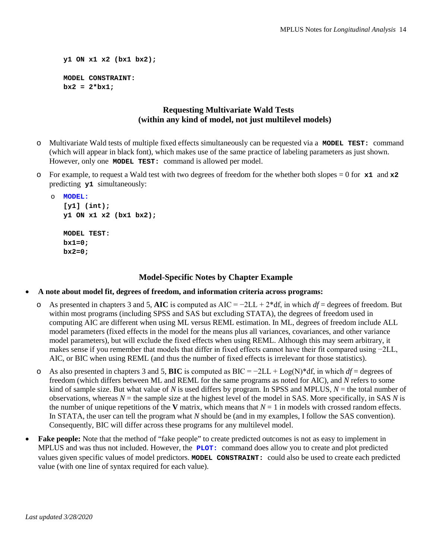```
y1 ON x1 x2 (bx1 bx2);
MODEL CONSTRAINT:
bx2 = 2*bx1;
```
# **Requesting Multivariate Wald Tests (within any kind of model, not just multilevel models)**

- Multivariate Wald tests of multiple fixed effects simultaneously can be requested via a **MODEL TEST:** command (which will appear in black font), which makes use of the same practice of labeling parameters as just shown. However, only one **MODEL TEST:** command is allowed per model.
- o For example, to request a Wald test with two degrees of freedom for the whether both slopes = 0 for **x1** and **x2**  predicting **y1** simultaneously:

```
o MODEL:
   [y1] (int); 
   y1 ON x1 x2 (bx1 bx2);
  MODEL TEST:
  bx1=0;
  bx2=0;
```
### **Model-Specific Notes by Chapter Example**

- **A note about model fit, degrees of freedom, and information criteria across programs:**
	- o As presented in chapters 3 and 5, **AIC** is computed as AIC = −2LL + 2\*df, in which *df* = degrees of freedom. But within most programs (including SPSS and SAS but excluding STATA), the degrees of freedom used in computing AIC are different when using ML versus REML estimation. In ML, degrees of freedom include ALL model parameters (fixed effects in the model for the means plus all variances, covariances, and other variance model parameters), but will exclude the fixed effects when using REML. Although this may seem arbitrary, it makes sense if you remember that models that differ in fixed effects cannot have their fit compared using −2LL, AIC, or BIC when using REML (and thus the number of fixed effects is irrelevant for those statistics).
	- o As also presented in chapters 3 and 5, **BIC** is computed as BIC = −2LL + Log(N)\*df, in which *df* = degrees of freedom (which differs between ML and REML for the same programs as noted for AIC), and *N* refers to some kind of sample size. But what value of *N* is used differs by program. In SPSS and MPLUS, *N* = the total number of observations, whereas  $N =$  the sample size at the highest level of the model in SAS. More specifically, in SAS  $N$  is the number of unique repetitions of the **V** matrix, which means that  $N = 1$  in models with crossed random effects. In STATA, the user can tell the program what *N* should be (and in my examples, I follow the SAS convention). Consequently, BIC will differ across these programs for any multilevel model.
- **Fake people:** Note that the method of "fake people" to create predicted outcomes is not as easy to implement in MPLUS and was thus not included. However, the **PLOT:** command does allow you to create and plot predicted values given specific values of model predictors. **MODEL CONSTRAINT:** could also be used to create each predicted value (with one line of syntax required for each value).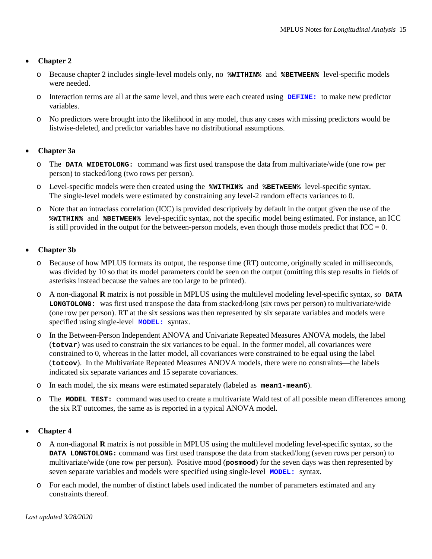- o Because chapter 2 includes single-level models only, no **%WITHIN%** and **%BETWEEN%** level-specific models were needed.
- o Interaction terms are all at the same level, and thus were each created using **DEFINE:** to make new predictor variables.
- o No predictors were brought into the likelihood in any model, thus any cases with missing predictors would be listwise-deleted, and predictor variables have no distributional assumptions.

#### • **Chapter 3a**

- o The **DATA WIDETOLONG:** command was first used transpose the data from multivariate/wide (one row per person) to stacked/long (two rows per person).
- o Level-specific models were then created using the **%WITHIN%** and **%BETWEEN%** level-specific syntax. The single-level models were estimated by constraining any level-2 random effects variances to 0.
- o Note that an intraclass correlation (ICC) is provided descriptively by default in the output given the use of the **%WITHIN%** and **%BETWEEN%** level-specific syntax, not the specific model being estimated. For instance, an ICC is still provided in the output for the between-person models, even though those models predict that  $ICC = 0$ .

#### • **Chapter 3b**

- o Because of how MPLUS formats its output, the response time (RT) outcome, originally scaled in milliseconds, was divided by 10 so that its model parameters could be seen on the output (omitting this step results in fields of asterisks instead because the values are too large to be printed).
- o A non-diagonal **R** matrix is not possible in MPLUS using the multilevel modeling level-specific syntax, so **DATA LONGTOLONG:** was first used transpose the data from stacked/long (six rows per person) to multivariate/wide (one row per person). RT at the six sessions was then represented by six separate variables and models were specified using single-level **MODEL:** syntax.
- o In the Between-Person Independent ANOVA and Univariate Repeated Measures ANOVA models, the label (**totvar**) was used to constrain the six variances to be equal. In the former model, all covariances were constrained to 0, whereas in the latter model, all covariances were constrained to be equal using the label (**totcov**). In the Multivariate Repeated Measures ANOVA models, there were no constraints—the labels indicated six separate variances and 15 separate covariances.
- o In each model, the six means were estimated separately (labeled as **mean1-mean6**).
- o The **MODEL TEST:** command was used to create a multivariate Wald test of all possible mean differences among the six RT outcomes, the same as is reported in a typical ANOVA model.

#### • **Chapter 4**

- o A non-diagonal **R** matrix is not possible in MPLUS using the multilevel modeling level-specific syntax, so the **DATA LONGTOLONG:** command was first used transpose the data from stacked/long (seven rows per person) to multivariate/wide (one row per person). Positive mood (**posmood**) for the seven days was then represented by seven separate variables and models were specified using single-level **MODEL:** syntax.
- o For each model, the number of distinct labels used indicated the number of parameters estimated and any constraints thereof.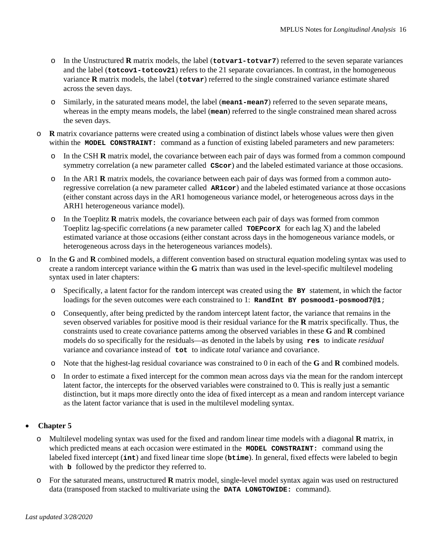- o In the Unstructured **R** matrix models, the label (**totvar1-totvar7**) referred to the seven separate variances and the label (**totcov1-totcov21**) refers to the 21 separate covariances. In contrast, in the homogeneous variance **R** matrix models, the label (**totvar**) referred to the single constrained variance estimate shared across the seven days.
- o Similarly, in the saturated means model, the label (**mean1-mean7**) referred to the seven separate means, whereas in the empty means models, the label (**mean**) referred to the single constrained mean shared across the seven days.
- o **R** matrix covariance patterns were created using a combination of distinct labels whose values were then given within the **MODEL CONSTRAINT:** command as a function of existing labeled parameters and new parameters:
	- o In the CSH **R** matrix model, the covariance between each pair of days was formed from a common compound symmetry correlation (a new parameter called  $\cscor$ ) and the labeled estimated variance at those occasions.
	- o In the AR1 **R** matrix models, the covariance between each pair of days was formed from a common autoregressive correlation (a new parameter called **AR1cor**) and the labeled estimated variance at those occasions (either constant across days in the AR1 homogeneous variance model, or heterogeneous across days in the ARH1 heterogeneous variance model).
	- o In the Toeplitz **R** matrix models, the covariance between each pair of days was formed from common Toeplitz lag-specific correlations (a new parameter called **TOEPcorX** for each lag X) and the labeled estimated variance at those occasions (either constant across days in the homogeneous variance models, or heterogeneous across days in the heterogeneous variances models).
- o In the **G** and **R** combined models, a different convention based on structural equation modeling syntax was used to create a random intercept variance within the **G** matrix than was used in the level-specific multilevel modeling syntax used in later chapters:
	- o Specifically, a latent factor for the random intercept was created using the **BY** statement, in which the factor loadings for the seven outcomes were each constrained to 1: **RandInt BY posmood1-posmood7@1**;
	- o Consequently, after being predicted by the random intercept latent factor, the variance that remains in the seven observed variables for positive mood is their residual variance for the **R** matrix specifically. Thus, the constraints used to create covariance patterns among the observed variables in these **G** and **R** combined models do so specifically for the residuals—as denoted in the labels by using **res** to indicate *residual* variance and covariance instead of **tot** to indicate *total* variance and covariance.
	- o Note that the highest-lag residual covariance was constrained to 0 in each of the **G** and **R** combined models.
	- o In order to estimate a fixed intercept for the common mean across days via the mean for the random intercept latent factor, the intercepts for the observed variables were constrained to 0. This is really just a semantic distinction, but it maps more directly onto the idea of fixed intercept as a mean and random intercept variance as the latent factor variance that is used in the multilevel modeling syntax.

- o Multilevel modeling syntax was used for the fixed and random linear time models with a diagonal **R** matrix, in which predicted means at each occasion were estimated in the **MODEL CONSTRAINT:** command using the labeled fixed intercept (**int**) and fixed linear time slope (**btime**). In general, fixed effects were labeled to begin with **b** followed by the predictor they referred to.
- o For the saturated means, unstructured **R** matrix model, single-level model syntax again was used on restructured data (transposed from stacked to multivariate using the **DATA LONGTOWIDE:** command).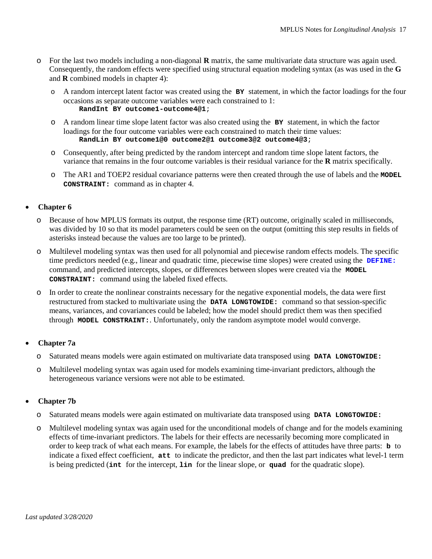- o For the last two models including a non-diagonal **R** matrix, the same multivariate data structure was again used. Consequently, the random effects were specified using structural equation modeling syntax (as was used in the **G** and **R** combined models in chapter 4):
	- o A random intercept latent factor was created using the **BY** statement, in which the factor loadings for the four occasions as separate outcome variables were each constrained to 1: **RandInt BY outcome1-outcome4@1**;
	- o A random linear time slope latent factor was also created using the **BY** statement, in which the factor loadings for the four outcome variables were each constrained to match their time values: **RandLin BY outcome1@0 outcome2@1 outcome3@2 outcome4@3**;
	- o Consequently, after being predicted by the random intercept and random time slope latent factors, the variance that remains in the four outcome variables is their residual variance for the **R** matrix specifically.
	- o The AR1 and TOEP2 residual covariance patterns were then created through the use of labels and the **MODEL CONSTRAINT:** command as in chapter 4.

- o Because of how MPLUS formats its output, the response time (RT) outcome, originally scaled in milliseconds, was divided by 10 so that its model parameters could be seen on the output (omitting this step results in fields of asterisks instead because the values are too large to be printed).
- o Multilevel modeling syntax was then used for all polynomial and piecewise random effects models. The specific time predictors needed (e.g., linear and quadratic time, piecewise time slopes) were created using the **DEFINE:** command, and predicted intercepts, slopes, or differences between slopes were created via the **MODEL CONSTRAINT:** command using the labeled fixed effects.
- o In order to create the nonlinear constraints necessary for the negative exponential models, the data were first restructured from stacked to multivariate using the **DATA LONGTOWIDE:** command so that session-specific means, variances, and covariances could be labeled; how the model should predict them was then specified through **MODEL CONSTRAINT:**. Unfortunately, only the random asymptote model would converge.

# • **Chapter 7a**

- o Saturated means models were again estimated on multivariate data transposed using **DATA LONGTOWIDE:**
- o Multilevel modeling syntax was again used for models examining time-invariant predictors, although the heterogeneous variance versions were not able to be estimated.

# • **Chapter 7b**

- o Saturated means models were again estimated on multivariate data transposed using **DATA LONGTOWIDE:**
- o Multilevel modeling syntax was again used for the unconditional models of change and for the models examining effects of time-invariant predictors. The labels for their effects are necessarily becoming more complicated in order to keep track of what each means. For example, the labels for the effects of attitudes have three parts: **b** to indicate a fixed effect coefficient, **att** to indicate the predictor, and then the last part indicates what level-1 term is being predicted (**int** for the intercept, **lin** for the linear slope, or **quad** for the quadratic slope).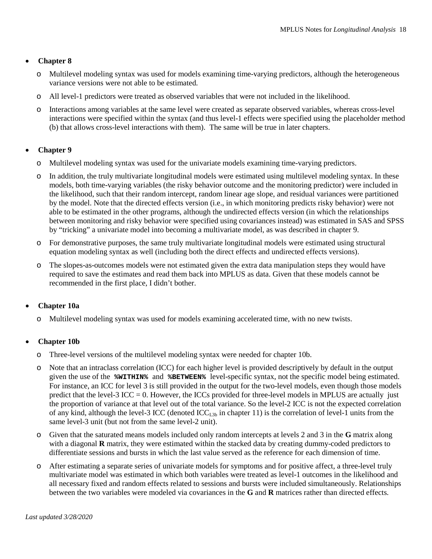- o Multilevel modeling syntax was used for models examining time-varying predictors, although the heterogeneous variance versions were not able to be estimated.
- o All level-1 predictors were treated as observed variables that were not included in the likelihood.
- o Interactions among variables at the same level were created as separate observed variables, whereas cross-level interactions were specified within the syntax (and thus level-1 effects were specified using the placeholder method (b) that allows cross-level interactions with them). The same will be true in later chapters.

#### • **Chapter 9**

- o Multilevel modeling syntax was used for the univariate models examining time-varying predictors.
- In addition, the truly multivariate longitudinal models were estimated using multilevel modeling syntax. In these models, both time-varying variables (the risky behavior outcome and the monitoring predictor) were included in the likelihood, such that their random intercept, random linear age slope, and residual variances were partitioned by the model. Note that the directed effects version (i.e., in which monitoring predicts risky behavior) were not able to be estimated in the other programs, although the undirected effects version (in which the relationships between monitoring and risky behavior were specified using covariances instead) was estimated in SAS and SPSS by "tricking" a univariate model into becoming a multivariate model, as was described in chapter 9.
- o For demonstrative purposes, the same truly multivariate longitudinal models were estimated using structural equation modeling syntax as well (including both the direct effects and undirected effects versions).
- o The slopes-as-outcomes models were not estimated given the extra data manipulation steps they would have required to save the estimates and read them back into MPLUS as data. Given that these models cannot be recommended in the first place, I didn't bother.

# • **Chapter 10a**

o Multilevel modeling syntax was used for models examining accelerated time, with no new twists.

# • **Chapter 10b**

- o Three-level versions of the multilevel modeling syntax were needed for chapter 10b.
- o Note that an intraclass correlation (ICC) for each higher level is provided descriptively by default in the output given the use of the **%WITHIN%** and **%BETWEEN%** level-specific syntax, not the specific model being estimated. For instance, an ICC for level 3 is still provided in the output for the two-level models, even though those models predict that the level-3 ICC = 0. However, the ICCs provided for three-level models in MPLUS are actually just the proportion of variance at that level out of the total variance. So the level-2 ICC is not the expected correlation of any kind, although the level-3 ICC (denoted  $ICC<sub>L3b</sub>$  in chapter 11) is the correlation of level-1 units from the same level-3 unit (but not from the same level-2 unit).
- o Given that the saturated means models included only random intercepts at levels 2 and 3 in the **G** matrix along with a diagonal **R** matrix, they were estimated within the stacked data by creating dummy-coded predictors to differentiate sessions and bursts in which the last value served as the reference for each dimension of time.
- o After estimating a separate series of univariate models for symptoms and for positive affect, a three-level truly multivariate model was estimated in which both variables were treated as level-1 outcomes in the likelihood and all necessary fixed and random effects related to sessions and bursts were included simultaneously. Relationships between the two variables were modeled via covariances in the **G** and **R** matrices rather than directed effects.